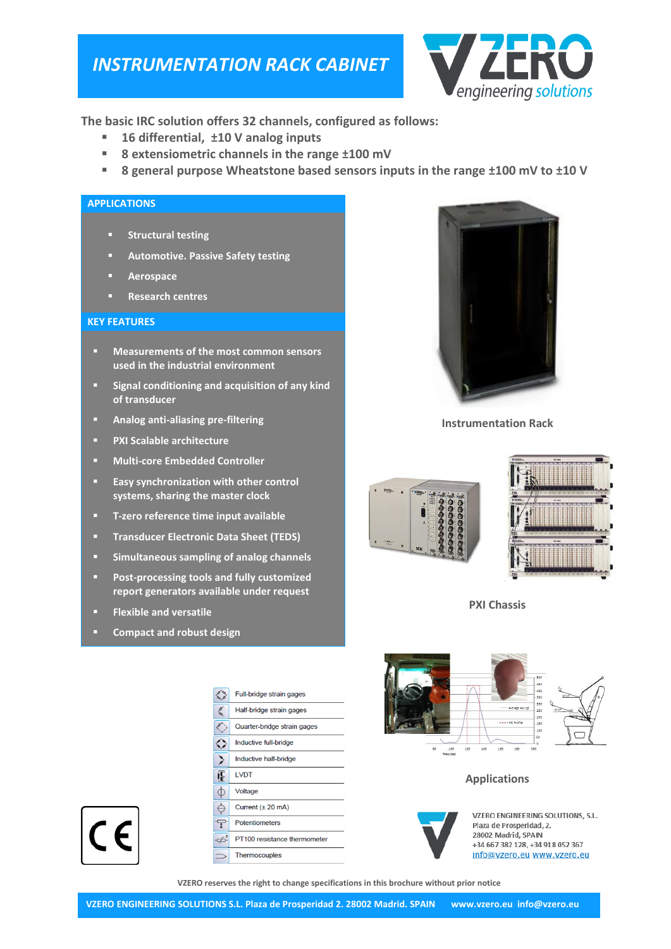# *INSTRUMENTATION RACK CABINET*



**The basic IRC solution offers 32 channels, configured as follows:**

- **16 differential, ±10 V analog inputs**
- **8 extensiometric channels in the range ±100 mV**
- **8 general purpose Wheatstone based sensors inputs in the range ±100 mV to ±10 V**

### **APPLICATIONS**

- **Structural testing**
- **Automotive. Passive Safety testing**
- **Aerospace**
- **Research centres**

#### **KEY FEATURES**

- **Measurements of the most common sensors used in the industrial environment**
- **Signal conditioning and acquisition of any kind of transducer**
- **Analog anti-aliasing pre-filtering**
- **PXI Scalable architecture**
- **Multi-core Embedded Controller**
- **Easy synchronization with other control systems, sharing the master clock**
- **T-zero reference time input available**
- **Transducer Electronic Data Sheet (TEDS)**
- **Simultaneous sampling of analog channels**
- **Post-processing tools and fully customized report generators available under request**

**RA** 

€

€

⇔

⋟

 $\ominus$ 

7

 $\pm$ 

**LVDT** Æ  $\phi$ 

Voltage

Full-bridge strain gages Half-bridge strain gages

Quarter-bridge strain gages

Inductive full-bridge

Inductive half-bridge

Current  $(\pm 20 \text{ mA})$ 

PT100 resistance thermometer

Potentiometers

Thermocouples

- **Flexible and versatile**
- **Compact and robust design**



**Instrumentation Rack**





**PXI Chassis**



## **Applications**



VZERO ENGINEERING SOLUTIONS. S.L. Plaza de Prosperidad, 2. 28002 Madrid, SPAIN +34 667 382 128, +34 918 052 367 info@vzero.eu www.vzero.eu

**VZERO reserves the right to change specifications in this brochure without prior notice**